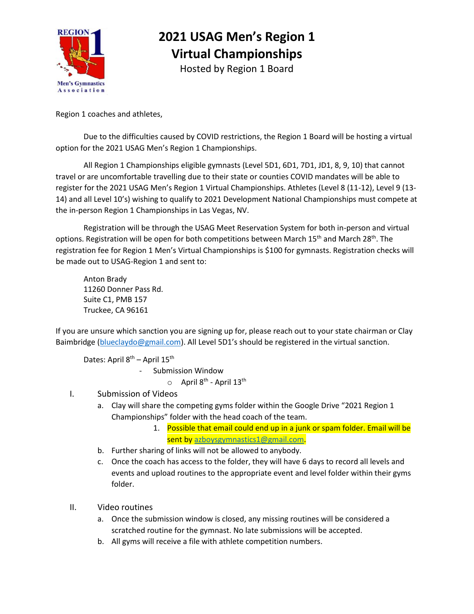

## **2021 USAG Men's Region 1 Virtual Championships**

Hosted by Region 1 Board

Region 1 coaches and athletes,

Due to the difficulties caused by COVID restrictions, the Region 1 Board will be hosting a virtual option for the 2021 USAG Men's Region 1 Championships.

All Region 1 Championships eligible gymnasts (Level 5D1, 6D1, 7D1, JD1, 8, 9, 10) that cannot travel or are uncomfortable travelling due to their state or counties COVID mandates will be able to register for the 2021 USAG Men's Region 1 Virtual Championships. Athletes (Level 8 (11-12), Level 9 (13- 14) and all Level 10's) wishing to qualify to 2021 Development National Championships must compete at the in-person Region 1 Championships in Las Vegas, NV.

Registration will be through the USAG Meet Reservation System for both in-person and virtual options. Registration will be open for both competitions between March 15<sup>th</sup> and March 28<sup>th</sup>. The registration fee for Region 1 Men's Virtual Championships is \$100 for gymnasts. Registration checks will be made out to USAG-Region 1 and sent to:

Anton Brady 11260 Donner Pass Rd. Suite C1, PMB 157 Truckee, CA 96161

If you are unsure which sanction you are signing up for, please reach out to your state chairman or Clay Baimbridge [\(blueclaydo@gmail.com](mailto:blueclaydo@gmail.com)). All Level 5D1's should be registered in the virtual sanction.

Dates: April 8<sup>th</sup> – April 15<sup>th</sup>

- Submission Window

 $\circ$  April 8<sup>th</sup> - April 13<sup>th</sup>

- I. Submission of Videos
	- a. Clay will share the competing gyms folder within the Google Drive "2021 Region 1 Championships" folder with the head coach of the team.
		- 1. Possible that email could end up in a junk or spam folder. Email will be sent by [azboysgymnastics1@gmail.com.](mailto:azboysgymnastics1@gmail.com)
	- b. Further sharing of links will not be allowed to anybody.
	- c. Once the coach has access to the folder, they will have 6 days to record all levels and events and upload routines to the appropriate event and level folder within their gyms folder.
- II. Video routines
	- a. Once the submission window is closed, any missing routines will be considered a scratched routine for the gymnast. No late submissions will be accepted.
	- b. All gyms will receive a file with athlete competition numbers.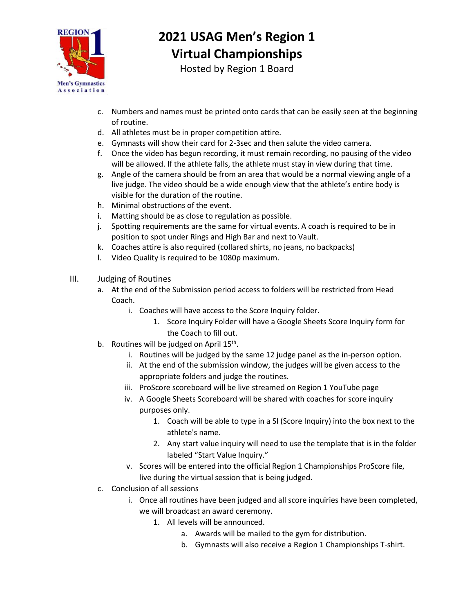

## **2021 USAG Men's Region 1 Virtual Championships**

Hosted by Region 1 Board

- c. Numbers and names must be printed onto cards that can be easily seen at the beginning of routine.
- d. All athletes must be in proper competition attire.
- e. Gymnasts will show their card for 2-3sec and then salute the video camera.
- f. Once the video has begun recording, it must remain recording, no pausing of the video will be allowed. If the athlete falls, the athlete must stay in view during that time.
- g. Angle of the camera should be from an area that would be a normal viewing angle of a live judge. The video should be a wide enough view that the athlete's entire body is visible for the duration of the routine.
- h. Minimal obstructions of the event.
- i. Matting should be as close to regulation as possible.
- j. Spotting requirements are the same for virtual events. A coach is required to be in position to spot under Rings and High Bar and next to Vault.
- k. Coaches attire is also required (collared shirts, no jeans, no backpacks)
- l. Video Quality is required to be 1080p maximum.
- III. Judging of Routines
	- a. At the end of the Submission period access to folders will be restricted from Head Coach.
		- i. Coaches will have access to the Score Inquiry folder.
			- 1. Score Inquiry Folder will have a Google Sheets Score Inquiry form for the Coach to fill out.
	- b. Routines will be judged on April  $15^{th}$ .
		- i. Routines will be judged by the same 12 judge panel as the in-person option.
			- ii. At the end of the submission window, the judges will be given access to the appropriate folders and judge the routines.
			- iii. ProScore scoreboard will be live streamed on Region 1 YouTube page
			- iv. A Google Sheets Scoreboard will be shared with coaches for score inquiry purposes only.
				- 1. Coach will be able to type in a SI (Score Inquiry) into the box next to the athlete's name.
				- 2. Any start value inquiry will need to use the template that is in the folder labeled "Start Value Inquiry."
			- v. Scores will be entered into the official Region 1 Championships ProScore file, live during the virtual session that is being judged.
	- c. Conclusion of all sessions
		- i. Once all routines have been judged and all score inquiries have been completed, we will broadcast an award ceremony.
			- 1. All levels will be announced.
				- a. Awards will be mailed to the gym for distribution.
				- b. Gymnasts will also receive a Region 1 Championships T-shirt.